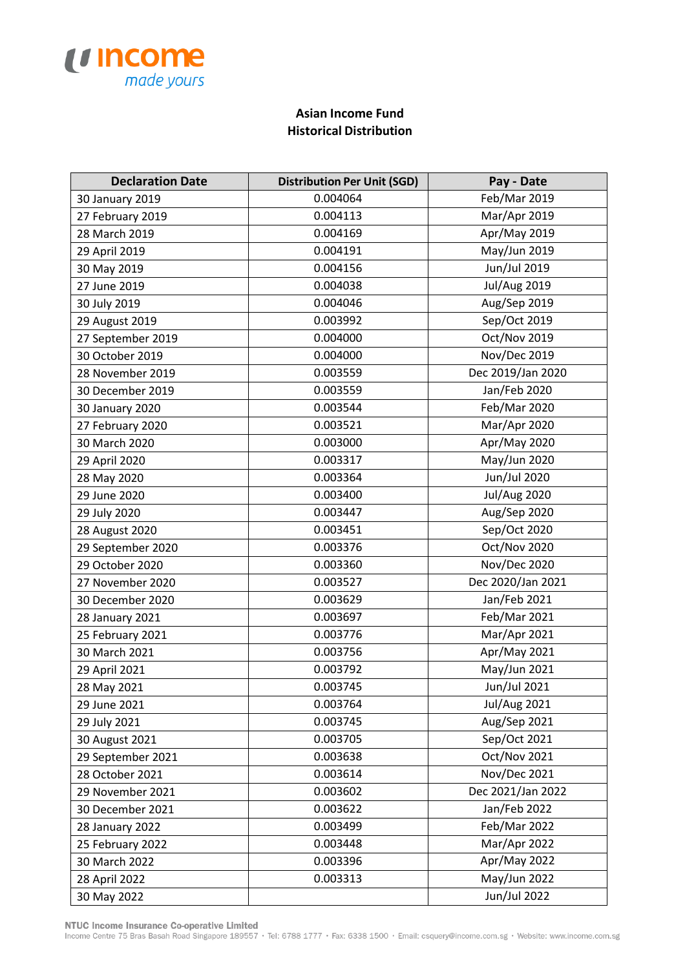

## **Asian Income Fund Historical Distribution**

| <b>Declaration Date</b> | <b>Distribution Per Unit (SGD)</b> | Pay - Date          |
|-------------------------|------------------------------------|---------------------|
| 30 January 2019         | 0.004064                           | Feb/Mar 2019        |
| 27 February 2019        | 0.004113                           | Mar/Apr 2019        |
| 28 March 2019           | 0.004169                           | Apr/May 2019        |
| 29 April 2019           | 0.004191                           | May/Jun 2019        |
| 30 May 2019             | 0.004156                           | Jun/Jul 2019        |
| 27 June 2019            | 0.004038                           | <b>Jul/Aug 2019</b> |
| 30 July 2019            | 0.004046                           | Aug/Sep 2019        |
| 29 August 2019          | 0.003992                           | Sep/Oct 2019        |
| 27 September 2019       | 0.004000                           | Oct/Nov 2019        |
| 30 October 2019         | 0.004000                           | Nov/Dec 2019        |
| 28 November 2019        | 0.003559                           | Dec 2019/Jan 2020   |
| 30 December 2019        | 0.003559                           | Jan/Feb 2020        |
| 30 January 2020         | 0.003544                           | Feb/Mar 2020        |
| 27 February 2020        | 0.003521                           | Mar/Apr 2020        |
| 30 March 2020           | 0.003000                           | Apr/May 2020        |
| 29 April 2020           | 0.003317                           | May/Jun 2020        |
| 28 May 2020             | 0.003364                           | Jun/Jul 2020        |
| 29 June 2020            | 0.003400                           | <b>Jul/Aug 2020</b> |
| 29 July 2020            | 0.003447                           | Aug/Sep 2020        |
| 28 August 2020          | 0.003451                           | Sep/Oct 2020        |
| 29 September 2020       | 0.003376                           | Oct/Nov 2020        |
| 29 October 2020         | 0.003360                           | <b>Nov/Dec 2020</b> |
| 27 November 2020        | 0.003527                           | Dec 2020/Jan 2021   |
| 30 December 2020        | 0.003629                           | Jan/Feb 2021        |
| 28 January 2021         | 0.003697                           | Feb/Mar 2021        |
| 25 February 2021        | 0.003776                           | Mar/Apr 2021        |
| 30 March 2021           | 0.003756                           | Apr/May 2021        |
| 29 April 2021           | 0.003792                           | May/Jun 2021        |
| 28 May 2021             | 0.003745                           | Jun/Jul 2021        |
| 29 June 2021            | 0.003764                           | <b>Jul/Aug 2021</b> |
| 29 July 2021            | 0.003745                           | Aug/Sep 2021        |
| 30 August 2021          | 0.003705                           | Sep/Oct 2021        |
| 29 September 2021       | 0.003638                           | Oct/Nov 2021        |
| 28 October 2021         | 0.003614                           | Nov/Dec 2021        |
| 29 November 2021        | 0.003602                           | Dec 2021/Jan 2022   |
| 30 December 2021        | 0.003622                           | Jan/Feb 2022        |
| 28 January 2022         | 0.003499                           | Feb/Mar 2022        |
| 25 February 2022        | 0.003448                           | Mar/Apr 2022        |
| 30 March 2022           | 0.003396                           | Apr/May 2022        |
| 28 April 2022           | 0.003313                           | May/Jun 2022        |
| 30 May 2022             |                                    | Jun/Jul 2022        |

NTUC Income Insurance Co-operative Limited<br>Income Centre 75 Bras Basah Road Singapore 189557 · Tel: 6788 1777 · Fax: 6338 1500 · Email: csquery@income.com.sg · Website: www.income.com.sg